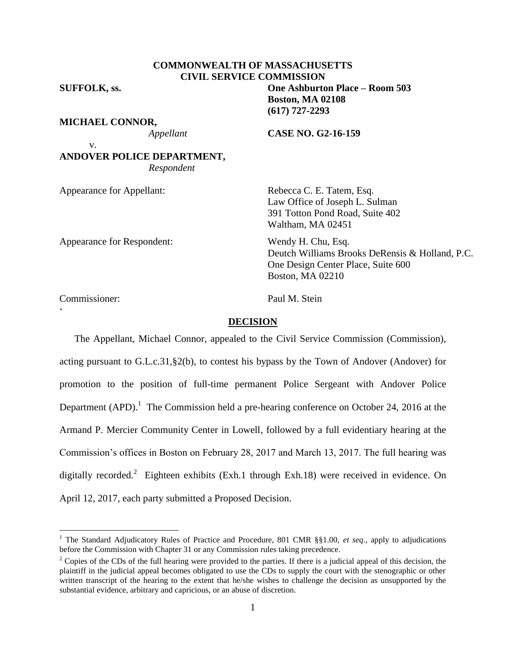# **COMMONWEALTH OF MASSACHUSETTS CIVIL SERVICE COMMISSION**

**SUFFOLK, ss. One Ashburton Place – Room 503**

v.

#### **MICHAEL CONNOR,**

*Appellant* **CASE NO. G2-16-159**

**Boston, MA 02108 (617) 727-2293**

**ANDOVER POLICE DEPARTMENT,** *Respondent*

Appearance for Respondent: Wendy H. Chu, Esq.

Appearance for Appellant: Rebecca C. E. Tatem, Esq. Law Office of Joseph L. Sulman 391 Totton Pond Road, Suite 402 Waltham, MA 02451

> Deutch Williams Brooks DeRensis & Holland, P.C. One Design Center Place, Suite 600 Boston, MA 02210

Commissioner: Paul M. Stein

 $\zeta$ 

 $\overline{a}$ 

#### **DECISION**

The Appellant, Michael Connor, appealed to the Civil Service Commission (Commission), acting pursuant to G.L.c.31,§2(b), to contest his bypass by the Town of Andover (Andover) for promotion to the position of full-time permanent Police Sergeant with Andover Police Department (APD).<sup>1</sup> The Commission held a pre-hearing conference on October 24, 2016 at the Armand P. Mercier Community Center in Lowell, followed by a full evidentiary hearing at the Commission's offices in Boston on February 28, 2017 and March 13, 2017. The full hearing was digitally recorded.<sup>2</sup> Eighteen exhibits (Exh.1 through Exh.18) were received in evidence. On April 12, 2017, each party submitted a Proposed Decision.

<sup>&</sup>lt;sup>1</sup> The Standard Adjudicatory Rules of Practice and Procedure, 801 CMR §§1.00, et seq., apply to adjudications before the Commission with Chapter 31 or any Commission rules taking precedence.

 $2^2$  Copies of the CDs of the full hearing were provided to the parties. If there is a judicial appeal of this decision, the plaintiff in the judicial appeal becomes obligated to use the CDs to supply the court with the stenographic or other written transcript of the hearing to the extent that he/she wishes to challenge the decision as unsupported by the substantial evidence, arbitrary and capricious, or an abuse of discretion.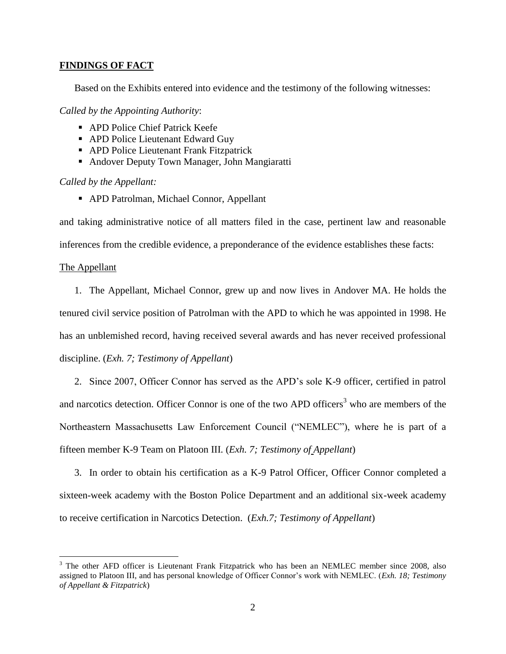### **FINDINGS OF FACT**

Based on the Exhibits entered into evidence and the testimony of the following witnesses:

*Called by the Appointing Authority*:

- APD Police Chief Patrick Keefe
- APD Police Lieutenant Edward Guy
- APD Police Lieutenant Frank Fitzpatrick
- Andover Deputy Town Manager, John Mangiaratti

*Called by the Appellant:*

APD Patrolman, Michael Connor, Appellant

and taking administrative notice of all matters filed in the case, pertinent law and reasonable

inferences from the credible evidence, a preponderance of the evidence establishes these facts:

# The Appellant

 $\overline{a}$ 

1. The Appellant, Michael Connor, grew up and now lives in Andover MA. He holds the tenured civil service position of Patrolman with the APD to which he was appointed in 1998. He has an unblemished record, having received several awards and has never received professional discipline. (*Exh. 7; Testimony of Appellant*)

2. Since 2007, Officer Connor has served as the APD's sole K-9 officer, certified in patrol and narcotics detection. Officer Connor is one of the two APD officers<sup>3</sup> who are members of the Northeastern Massachusetts Law Enforcement Council ("NEMLEC"), where he is part of a fifteen member K-9 Team on Platoon III. (*Exh. 7; Testimony of Appellant*)

3. In order to obtain his certification as a K-9 Patrol Officer, Officer Connor completed a sixteen-week academy with the Boston Police Department and an additional six-week academy to receive certification in Narcotics Detection. (*Exh.7; Testimony of Appellant*)

<sup>3</sup> The other AFD officer is Lieutenant Frank Fitzpatrick who has been an NEMLEC member since 2008, also assigned to Platoon III, and has personal knowledge of Officer Connor's work with NEMLEC. (*Exh. 18; Testimony of Appellant & Fitzpatrick*)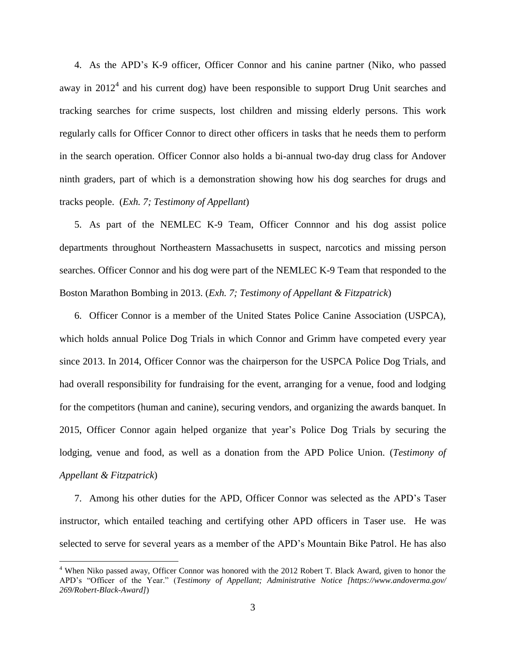4. As the APD's K-9 officer, Officer Connor and his canine partner (Niko, who passed away in  $2012<sup>4</sup>$  and his current dog) have been responsible to support Drug Unit searches and tracking searches for crime suspects, lost children and missing elderly persons. This work regularly calls for Officer Connor to direct other officers in tasks that he needs them to perform in the search operation. Officer Connor also holds a bi-annual two-day drug class for Andover ninth graders, part of which is a demonstration showing how his dog searches for drugs and tracks people. (*Exh. 7; Testimony of Appellant*)

5. As part of the NEMLEC K-9 Team, Officer Connnor and his dog assist police departments throughout Northeastern Massachusetts in suspect, narcotics and missing person searches. Officer Connor and his dog were part of the NEMLEC K-9 Team that responded to the Boston Marathon Bombing in 2013. (*Exh. 7; Testimony of Appellant & Fitzpatrick*)

6. Officer Connor is a member of the United States Police Canine Association (USPCA), which holds annual Police Dog Trials in which Connor and Grimm have competed every year since 2013. In 2014, Officer Connor was the chairperson for the USPCA Police Dog Trials, and had overall responsibility for fundraising for the event, arranging for a venue, food and lodging for the competitors (human and canine), securing vendors, and organizing the awards banquet. In 2015, Officer Connor again helped organize that year's Police Dog Trials by securing the lodging, venue and food, as well as a donation from the APD Police Union. (*Testimony of Appellant & Fitzpatrick*)

7. Among his other duties for the APD, Officer Connor was selected as the APD's Taser instructor, which entailed teaching and certifying other APD officers in Taser use. He was selected to serve for several years as a member of the APD's Mountain Bike Patrol. He has also

 $\overline{a}$ 

<sup>&</sup>lt;sup>4</sup> When Niko passed away, Officer Connor was honored with the 2012 Robert T. Black Award, given to honor the APD's "Officer of the Year." (*Testimony of Appellant; Administrative Notice [https://www.andoverma.gov/ 269/Robert-Black-Award]*)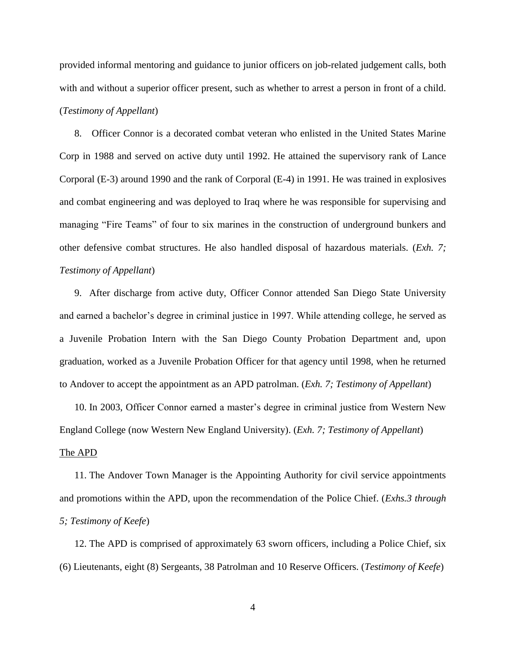provided informal mentoring and guidance to junior officers on job-related judgement calls, both with and without a superior officer present, such as whether to arrest a person in front of a child. (*Testimony of Appellant*)

8. Officer Connor is a decorated combat veteran who enlisted in the United States Marine Corp in 1988 and served on active duty until 1992. He attained the supervisory rank of Lance Corporal (E-3) around 1990 and the rank of Corporal (E-4) in 1991. He was trained in explosives and combat engineering and was deployed to Iraq where he was responsible for supervising and managing "Fire Teams" of four to six marines in the construction of underground bunkers and other defensive combat structures. He also handled disposal of hazardous materials. (*Exh. 7; Testimony of Appellant*)

9. After discharge from active duty, Officer Connor attended San Diego State University and earned a bachelor's degree in criminal justice in 1997. While attending college, he served as a Juvenile Probation Intern with the San Diego County Probation Department and, upon graduation, worked as a Juvenile Probation Officer for that agency until 1998, when he returned to Andover to accept the appointment as an APD patrolman. (*Exh. 7; Testimony of Appellant*)

10. In 2003, Officer Connor earned a master's degree in criminal justice from Western New England College (now Western New England University). (*Exh. 7; Testimony of Appellant*)

#### The APD

11. The Andover Town Manager is the Appointing Authority for civil service appointments and promotions within the APD, upon the recommendation of the Police Chief. (*Exhs.3 through 5; Testimony of Keefe*)

12. The APD is comprised of approximately 63 sworn officers, including a Police Chief, six (6) Lieutenants, eight (8) Sergeants, 38 Patrolman and 10 Reserve Officers. (*Testimony of Keefe*)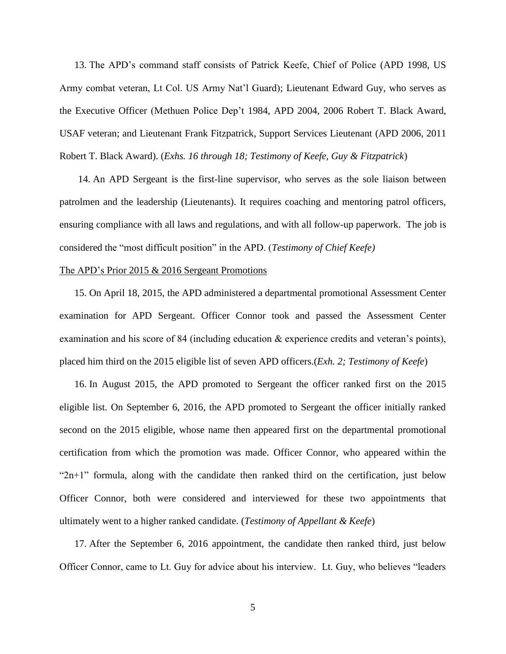13. The APD's command staff consists of Patrick Keefe, Chief of Police (APD 1998, US Army combat veteran, Lt Col. US Army Nat'l Guard); Lieutenant Edward Guy, who serves as the Executive Officer (Methuen Police Dep't 1984, APD 2004, 2006 Robert T. Black Award, USAF veteran; and Lieutenant Frank Fitzpatrick, Support Services Lieutenant (APD 2006, 2011 Robert T. Black Award). (*Exhs. 16 through 18; Testimony of Keefe, Guy & Fitzpatrick*)

14. An APD Sergeant is the first-line supervisor, who serves as the sole liaison between patrolmen and the leadership (Lieutenants). It requires coaching and mentoring patrol officers, ensuring compliance with all laws and regulations, and with all follow-up paperwork. The job is considered the "most difficult position" in the APD. (*Testimony of Chief Keefe)*

#### The APD's Prior 2015 & 2016 Sergeant Promotions

15. On April 18, 2015, the APD administered a departmental promotional Assessment Center examination for APD Sergeant. Officer Connor took and passed the Assessment Center examination and his score of 84 (including education & experience credits and veteran's points), placed him third on the 2015 eligible list of seven APD officers.(*Exh. 2; Testimony of Keefe*)

16. In August 2015, the APD promoted to Sergeant the officer ranked first on the 2015 eligible list. On September 6, 2016, the APD promoted to Sergeant the officer initially ranked second on the 2015 eligible, whose name then appeared first on the departmental promotional certification from which the promotion was made. Officer Connor, who appeared within the "2n+1" formula, along with the candidate then ranked third on the certification, just below Officer Connor, both were considered and interviewed for these two appointments that ultimately went to a higher ranked candidate. (*Testimony of Appellant & Keefe*)

17. After the September 6, 2016 appointment, the candidate then ranked third, just below Officer Connor, came to Lt. Guy for advice about his interview. Lt. Guy, who believes "leaders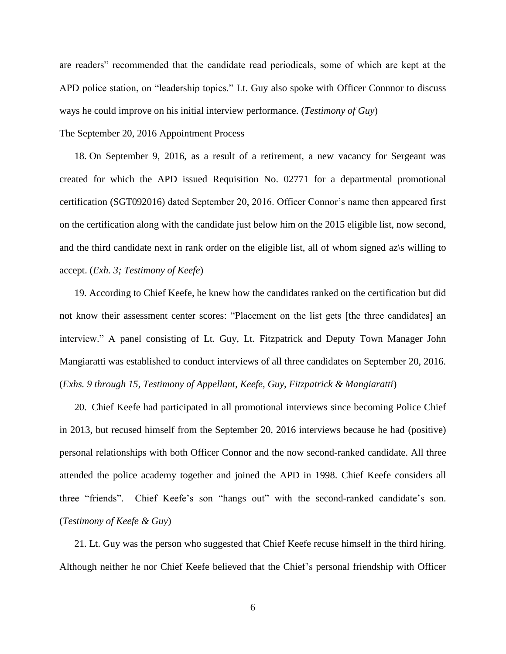are readers" recommended that the candidate read periodicals, some of which are kept at the APD police station, on "leadership topics." Lt. Guy also spoke with Officer Connnor to discuss ways he could improve on his initial interview performance. (*Testimony of Guy*)

### The September 20, 2016 Appointment Process

18. On September 9, 2016, as a result of a retirement, a new vacancy for Sergeant was created for which the APD issued Requisition No. 02771 for a departmental promotional certification (SGT092016) dated September 20, 2016. Officer Connor's name then appeared first on the certification along with the candidate just below him on the 2015 eligible list, now second, and the third candidate next in rank order on the eligible list, all of whom signed az $\succeq$  willing to accept. (*Exh. 3; Testimony of Keefe*)

19. According to Chief Keefe, he knew how the candidates ranked on the certification but did not know their assessment center scores: "Placement on the list gets [the three candidates] an interview." A panel consisting of Lt. Guy, Lt. Fitzpatrick and Deputy Town Manager John Mangiaratti was established to conduct interviews of all three candidates on September 20, 2016. (*Exhs. 9 through 15, Testimony of Appellant, Keefe, Guy, Fitzpatrick & Mangiaratti*)

20. Chief Keefe had participated in all promotional interviews since becoming Police Chief in 2013, but recused himself from the September 20, 2016 interviews because he had (positive) personal relationships with both Officer Connor and the now second-ranked candidate. All three attended the police academy together and joined the APD in 1998. Chief Keefe considers all three "friends". Chief Keefe's son "hangs out" with the second-ranked candidate's son. (*Testimony of Keefe & Guy*)

21. Lt. Guy was the person who suggested that Chief Keefe recuse himself in the third hiring. Although neither he nor Chief Keefe believed that the Chief's personal friendship with Officer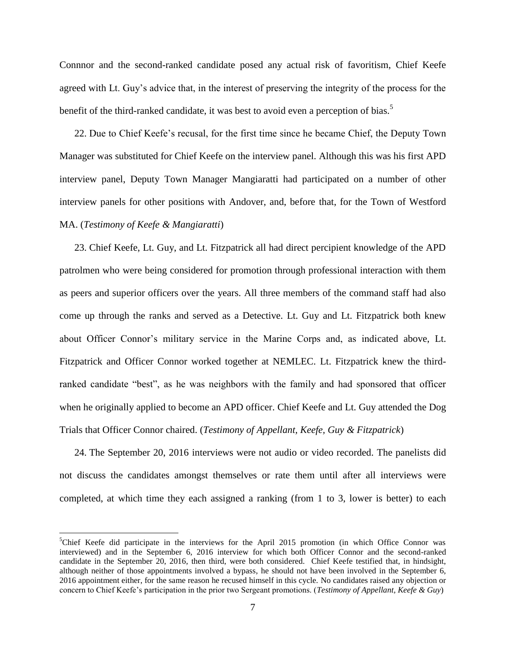Connnor and the second-ranked candidate posed any actual risk of favoritism, Chief Keefe agreed with Lt. Guy's advice that, in the interest of preserving the integrity of the process for the benefit of the third-ranked candidate, it was best to avoid even a perception of bias.<sup>5</sup>

22. Due to Chief Keefe's recusal, for the first time since he became Chief, the Deputy Town Manager was substituted for Chief Keefe on the interview panel. Although this was his first APD interview panel, Deputy Town Manager Mangiaratti had participated on a number of other interview panels for other positions with Andover, and, before that, for the Town of Westford MA. (*Testimony of Keefe & Mangiaratti*)

23. Chief Keefe, Lt. Guy, and Lt. Fitzpatrick all had direct percipient knowledge of the APD patrolmen who were being considered for promotion through professional interaction with them as peers and superior officers over the years. All three members of the command staff had also come up through the ranks and served as a Detective. Lt. Guy and Lt. Fitzpatrick both knew about Officer Connor's military service in the Marine Corps and, as indicated above, Lt. Fitzpatrick and Officer Connor worked together at NEMLEC. Lt. Fitzpatrick knew the thirdranked candidate "best", as he was neighbors with the family and had sponsored that officer when he originally applied to become an APD officer. Chief Keefe and Lt. Guy attended the Dog Trials that Officer Connor chaired. (*Testimony of Appellant, Keefe, Guy & Fitzpatrick*)

24. The September 20, 2016 interviews were not audio or video recorded. The panelists did not discuss the candidates amongst themselves or rate them until after all interviews were completed, at which time they each assigned a ranking (from 1 to 3, lower is better) to each

 $\overline{a}$ 

<sup>&</sup>lt;sup>5</sup>Chief Keefe did participate in the interviews for the April 2015 promotion (in which Office Connor was interviewed) and in the September 6, 2016 interview for which both Officer Connor and the second-ranked candidate in the September 20, 2016, then third, were both considered. Chief Keefe testified that, in hindsight, although neither of those appointments involved a bypass, he should not have been involved in the September 6, 2016 appointment either, for the same reason he recused himself in this cycle. No candidates raised any objection or concern to Chief Keefe's participation in the prior two Sergeant promotions. (*Testimony of Appellant, Keefe & Guy*)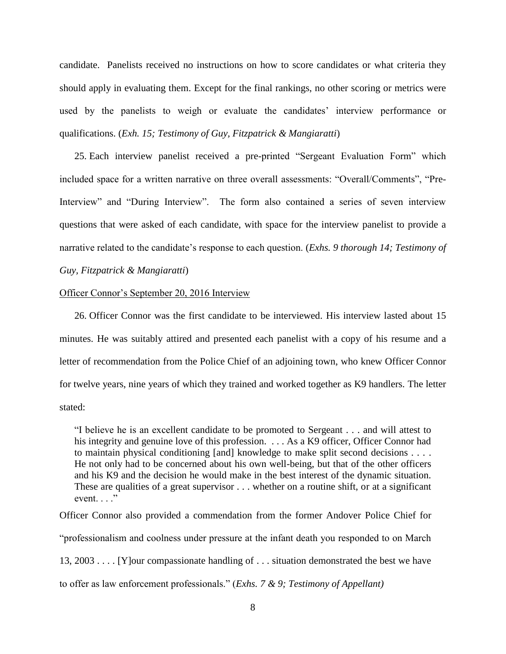candidate. Panelists received no instructions on how to score candidates or what criteria they should apply in evaluating them. Except for the final rankings, no other scoring or metrics were used by the panelists to weigh or evaluate the candidates' interview performance or qualifications. (*Exh. 15; Testimony of Guy, Fitzpatrick & Mangiaratti*)

25. Each interview panelist received a pre-printed "Sergeant Evaluation Form" which included space for a written narrative on three overall assessments: "Overall/Comments", "Pre-Interview" and "During Interview". The form also contained a series of seven interview questions that were asked of each candidate, with space for the interview panelist to provide a narrative related to the candidate's response to each question. (*Exhs. 9 thorough 14; Testimony of* 

*Guy, Fitzpatrick & Mangiaratti*)

### Officer Connor's September 20, 2016 Interview

26. Officer Connor was the first candidate to be interviewed. His interview lasted about 15 minutes. He was suitably attired and presented each panelist with a copy of his resume and a letter of recommendation from the Police Chief of an adjoining town, who knew Officer Connor for twelve years, nine years of which they trained and worked together as K9 handlers. The letter stated:

"I believe he is an excellent candidate to be promoted to Sergeant . . . and will attest to his integrity and genuine love of this profession. . . . As a K9 officer, Officer Connor had to maintain physical conditioning [and] knowledge to make split second decisions . . . . He not only had to be concerned about his own well-being, but that of the other officers and his K9 and the decision he would make in the best interest of the dynamic situation. These are qualities of a great supervisor . . . whether on a routine shift, or at a significant event.  $\ldots$ "

Officer Connor also provided a commendation from the former Andover Police Chief for "professionalism and coolness under pressure at the infant death you responded to on March 13, 2003 . . . . [Y]our compassionate handling of . . . situation demonstrated the best we have to offer as law enforcement professionals." (*Exhs. 7 & 9; Testimony of Appellant)*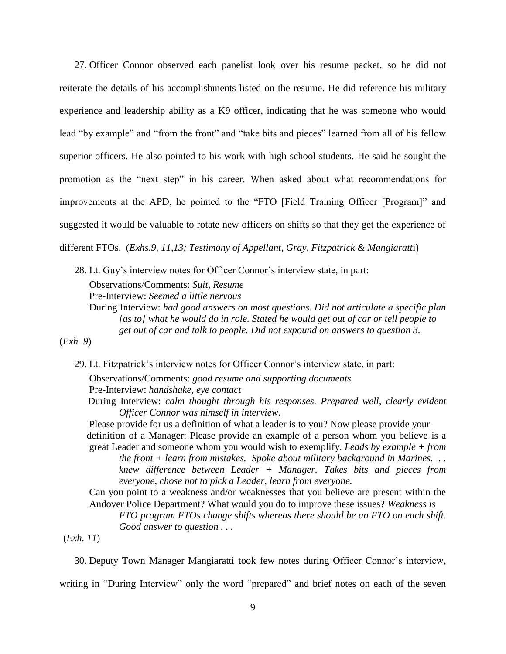27. Officer Connor observed each panelist look over his resume packet, so he did not reiterate the details of his accomplishments listed on the resume. He did reference his military experience and leadership ability as a K9 officer, indicating that he was someone who would lead "by example" and "from the front" and "take bits and pieces" learned from all of his fellow superior officers. He also pointed to his work with high school students. He said he sought the promotion as the "next step" in his career. When asked about what recommendations for improvements at the APD, he pointed to the "FTO [Field Training Officer [Program]" and suggested it would be valuable to rotate new officers on shifts so that they get the experience of different FTOs. (*Exhs.9, 11,13; Testimony of Appellant, Gray, Fitzpatrick & Mangiaratt*i)

28. Lt. Guy's interview notes for Officer Connor's interview state, in part: Observations/Comments: *Suit, Resume* Pre-Interview: *Seemed a little nervous* During Interview: *had good answers on most questions. Did not articulate a specific plan [as to] what he would do in role. Stated he would get out of car or tell people to get out of car and talk to people. Did not expound on answers to question 3.*

(*Exh. 9*)

29. Lt. Fitzpatrick's interview notes for Officer Connor's interview state, in part:

Observations/Comments: *good resume and supporting documents* Pre-Interview: *handshake, eye contact*

During Interview: *calm thought through his responses. Prepared well, clearly evident Officer Connor was himself in interview.*

Please provide for us a definition of what a leader is to you? Now please provide your definition of a Manager: Please provide an example of a person whom you believe is a great Leader and someone whom you would wish to exemplify. *Leads by example + from the front + learn from mistakes. Spoke about military background in Marines. . .* 

*knew difference between Leader + Manager. Takes bits and pieces from everyone, chose not to pick a Leader, learn from everyone.*

Can you point to a weakness and/or weaknesses that you believe are present within the Andover Police Department? What would you do to improve these issues? *Weakness is*

*FTO program FTOs change shifts whereas there should be an FTO on each shift. Good answer to question . . .* 

(*Exh. 11*)

30. Deputy Town Manager Mangiaratti took few notes during Officer Connor's interview,

writing in "During Interview" only the word "prepared" and brief notes on each of the seven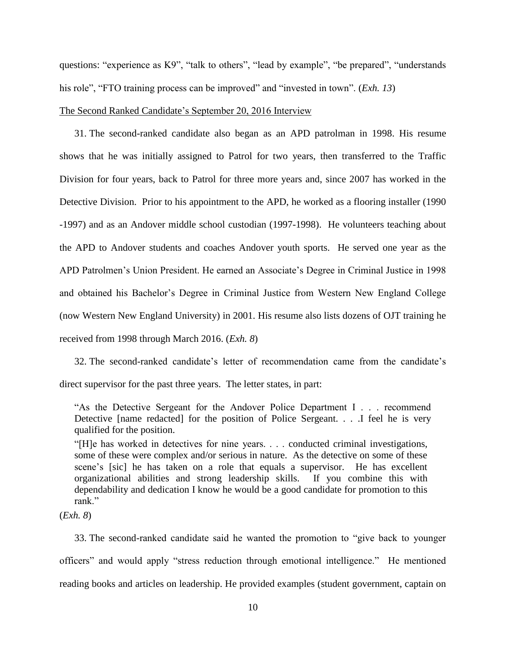questions: "experience as K9", "talk to others", "lead by example", "be prepared", "understands his role", "FTO training process can be improved" and "invested in town". (*Exh. 13*)

#### The Second Ranked Candidate's September 20, 2016 Interview

31. The second-ranked candidate also began as an APD patrolman in 1998. His resume shows that he was initially assigned to Patrol for two years, then transferred to the Traffic Division for four years, back to Patrol for three more years and, since 2007 has worked in the Detective Division. Prior to his appointment to the APD, he worked as a flooring installer (1990 -1997) and as an Andover middle school custodian (1997-1998). He volunteers teaching about the APD to Andover students and coaches Andover youth sports. He served one year as the APD Patrolmen's Union President. He earned an Associate's Degree in Criminal Justice in 1998 and obtained his Bachelor's Degree in Criminal Justice from Western New England College (now Western New England University) in 2001. His resume also lists dozens of OJT training he received from 1998 through March 2016. (*Exh. 8*)

32. The second-ranked candidate's letter of recommendation came from the candidate's direct supervisor for the past three years. The letter states, in part:

"As the Detective Sergeant for the Andover Police Department I . . . recommend Detective [name redacted] for the position of Police Sergeant. . . .I feel he is very qualified for the position.

"[H]e has worked in detectives for nine years. . . . conducted criminal investigations, some of these were complex and/or serious in nature. As the detective on some of these scene's [sic] he has taken on a role that equals a supervisor. He has excellent organizational abilities and strong leadership skills. If you combine this with dependability and dedication I know he would be a good candidate for promotion to this rank."

(*Exh. 8*)

33. The second-ranked candidate said he wanted the promotion to "give back to younger officers" and would apply "stress reduction through emotional intelligence." He mentioned reading books and articles on leadership. He provided examples (student government, captain on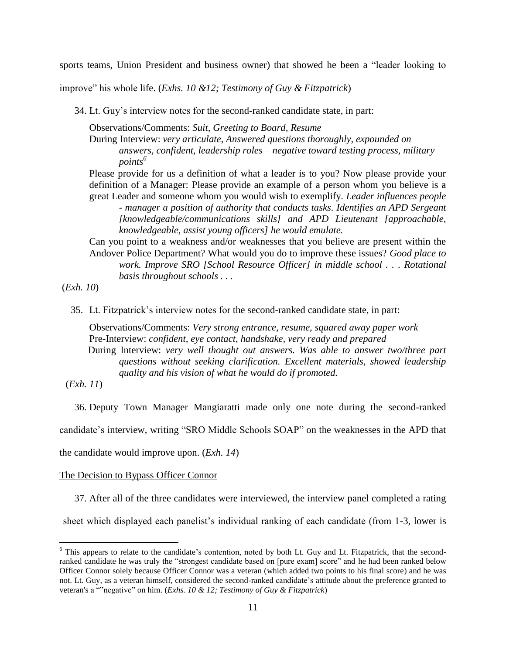sports teams, Union President and business owner) that showed he been a "leader looking to

improve" his whole life. (*Exhs. 10 &12; Testimony of Guy & Fitzpatrick*)

34. Lt. Guy's interview notes for the second-ranked candidate state, in part:

Observations/Comments: *Suit, Greeting to Board, Resume*

During Interview: *very articulate, Answered questions thoroughly, expounded on answers, confident, leadership roles – negative toward testing process, military points<sup>6</sup>*

Please provide for us a definition of what a leader is to you? Now please provide your definition of a Manager: Please provide an example of a person whom you believe is a great Leader and someone whom you would wish to exemplify. *Leader influences people* 

*- manager a position of authority that conducts tasks. Identifies an APD Sergeant [knowledgeable/communications skills] and APD Lieutenant [approachable, knowledgeable, assist young officers] he would emulate.*

Can you point to a weakness and/or weaknesses that you believe are present within the Andover Police Department? What would you do to improve these issues? *Good place to work. Improve SRO [School Resource Officer] in middle school . . . Rotational basis throughout schools . . .* 

(*Exh. 10*)

35. Lt. Fitzpatrick's interview notes for the second-ranked candidate state, in part:

Observations/Comments: *Very strong entrance, resume, squared away paper work* Pre-Interview: *confident, eye contact, handshake, very ready and prepared* During Interview: *very well thought out answers. Was able to answer two/three part questions without seeking clarification. Excellent materials, showed leadership quality and his vision of what he would do if promoted.*

(*Exh. 11*)

 $\overline{a}$ 

36. Deputy Town Manager Mangiaratti made only one note during the second-ranked

candidate's interview, writing "SRO Middle Schools SOAP" on the weaknesses in the APD that

the candidate would improve upon. (*Exh. 14*)

#### The Decision to Bypass Officer Connor

37. After all of the three candidates were interviewed, the interview panel completed a rating

sheet which displayed each panelist's individual ranking of each candidate (from 1-3, lower is

<sup>&</sup>lt;sup>6</sup> This appears to relate to the candidate's contention, noted by both Lt. Guy and Lt. Fitzpatrick, that the secondranked candidate he was truly the "strongest candidate based on [pure exam] score" and he had been ranked below Officer Connor solely because Officer Connor was a veteran (which added two points to his final score) and he was not. Lt. Guy, as a veteran himself, considered the second-ranked candidate's attitude about the preference granted to veteran's a ""negative" on him. (*Exhs. 10 & 12; Testimony of Guy & Fitzpatrick*)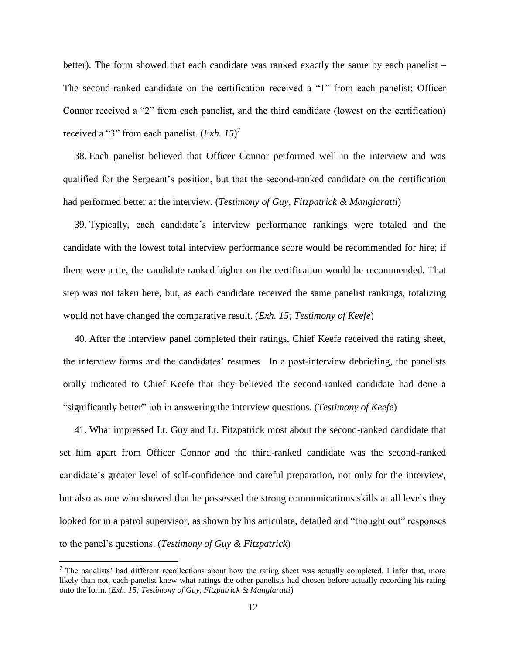better). The form showed that each candidate was ranked exactly the same by each panelist – The second-ranked candidate on the certification received a "1" from each panelist; Officer Connor received a "2" from each panelist, and the third candidate (lowest on the certification) received a "3" from each panelist. (*Exh. 15*) 7

38. Each panelist believed that Officer Connor performed well in the interview and was qualified for the Sergeant's position, but that the second-ranked candidate on the certification had performed better at the interview. (*Testimony of Guy, Fitzpatrick & Mangiaratti*)

39. Typically, each candidate's interview performance rankings were totaled and the candidate with the lowest total interview performance score would be recommended for hire; if there were a tie, the candidate ranked higher on the certification would be recommended. That step was not taken here, but, as each candidate received the same panelist rankings, totalizing would not have changed the comparative result. (*Exh. 15; Testimony of Keefe*)

40. After the interview panel completed their ratings, Chief Keefe received the rating sheet, the interview forms and the candidates' resumes. In a post-interview debriefing, the panelists orally indicated to Chief Keefe that they believed the second-ranked candidate had done a "significantly better" job in answering the interview questions. (*Testimony of Keefe*)

41. What impressed Lt. Guy and Lt. Fitzpatrick most about the second-ranked candidate that set him apart from Officer Connor and the third-ranked candidate was the second-ranked candidate's greater level of self-confidence and careful preparation, not only for the interview, but also as one who showed that he possessed the strong communications skills at all levels they looked for in a patrol supervisor, as shown by his articulate, detailed and "thought out" responses to the panel's questions. (*Testimony of Guy & Fitzpatrick*)

 $\overline{a}$ 

 $<sup>7</sup>$  The panelists' had different recollections about how the rating sheet was actually completed. I infer that, more</sup> likely than not, each panelist knew what ratings the other panelists had chosen before actually recording his rating onto the form. (*Exh. 15; Testimony of Guy, Fitzpatrick & Mangiaratti*)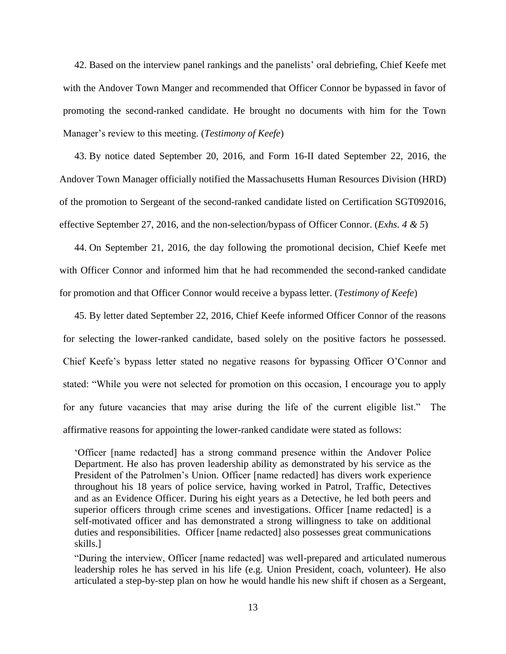42. Based on the interview panel rankings and the panelists' oral debriefing, Chief Keefe met with the Andover Town Manger and recommended that Officer Connor be bypassed in favor of promoting the second-ranked candidate. He brought no documents with him for the Town Manager's review to this meeting. (*Testimony of Keefe*)

43. By notice dated September 20, 2016, and Form 16-II dated September 22, 2016, the Andover Town Manager officially notified the Massachusetts Human Resources Division (HRD) of the promotion to Sergeant of the second-ranked candidate listed on Certification SGT092016, effective September 27, 2016, and the non-selection/bypass of Officer Connor. (*Exhs. 4 & 5*)

44. On September 21, 2016, the day following the promotional decision, Chief Keefe met with Officer Connor and informed him that he had recommended the second-ranked candidate for promotion and that Officer Connor would receive a bypass letter. (*Testimony of Keefe*)

45. By letter dated September 22, 2016, Chief Keefe informed Officer Connor of the reasons for selecting the lower-ranked candidate, based solely on the positive factors he possessed. Chief Keefe's bypass letter stated no negative reasons for bypassing Officer O'Connor and stated: "While you were not selected for promotion on this occasion, I encourage you to apply for any future vacancies that may arise during the life of the current eligible list." The affirmative reasons for appointing the lower-ranked candidate were stated as follows:

'Officer [name redacted] has a strong command presence within the Andover Police Department. He also has proven leadership ability as demonstrated by his service as the President of the Patrolmen's Union. Officer [name redacted] has divers work experience throughout his 18 years of police service, having worked in Patrol, Traffic, Detectives and as an Evidence Officer. During his eight years as a Detective, he led both peers and superior officers through crime scenes and investigations. Officer [name redacted] is a self-motivated officer and has demonstrated a strong willingness to take on additional duties and responsibilities. Officer [name redacted] also possesses great communications skills.]

"During the interview, Officer [name redacted] was well-prepared and articulated numerous leadership roles he has served in his life (e.g. Union President, coach, volunteer). He also articulated a step-by-step plan on how he would handle his new shift if chosen as a Sergeant,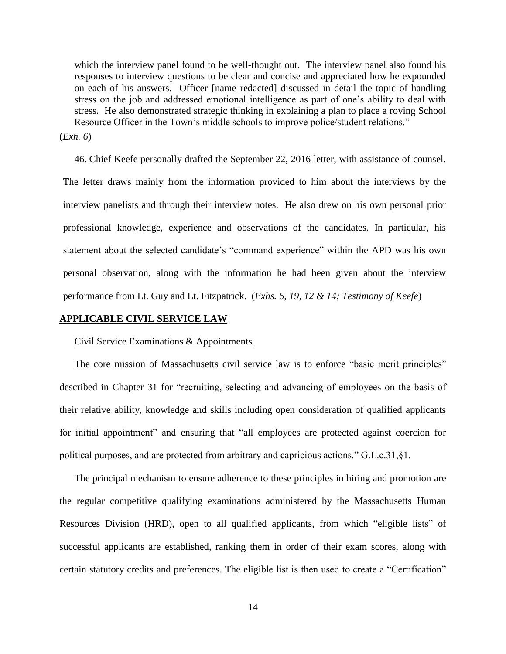which the interview panel found to be well-thought out. The interview panel also found his responses to interview questions to be clear and concise and appreciated how he expounded on each of his answers. Officer [name redacted] discussed in detail the topic of handling stress on the job and addressed emotional intelligence as part of one's ability to deal with stress. He also demonstrated strategic thinking in explaining a plan to place a roving School Resource Officer in the Town's middle schools to improve police/student relations."

(*Exh. 6*)

46. Chief Keefe personally drafted the September 22, 2016 letter, with assistance of counsel. The letter draws mainly from the information provided to him about the interviews by the interview panelists and through their interview notes. He also drew on his own personal prior professional knowledge, experience and observations of the candidates. In particular, his statement about the selected candidate's "command experience" within the APD was his own personal observation, along with the information he had been given about the interview performance from Lt. Guy and Lt. Fitzpatrick. (*Exhs. 6, 19, 12 & 14; Testimony of Keefe*)

## **APPLICABLE CIVIL SERVICE LAW**

#### Civil Service Examinations & Appointments

The core mission of Massachusetts civil service law is to enforce "basic merit principles" described in Chapter 31 for "recruiting, selecting and advancing of employees on the basis of their relative ability, knowledge and skills including open consideration of qualified applicants for initial appointment" and ensuring that "all employees are protected against coercion for political purposes, and are protected from arbitrary and capricious actions." G.L.c.31,§1.

The principal mechanism to ensure adherence to these principles in hiring and promotion are the regular competitive qualifying examinations administered by the Massachusetts Human Resources Division (HRD), open to all qualified applicants, from which "eligible lists" of successful applicants are established, ranking them in order of their exam scores, along with certain statutory credits and preferences. The eligible list is then used to create a "Certification"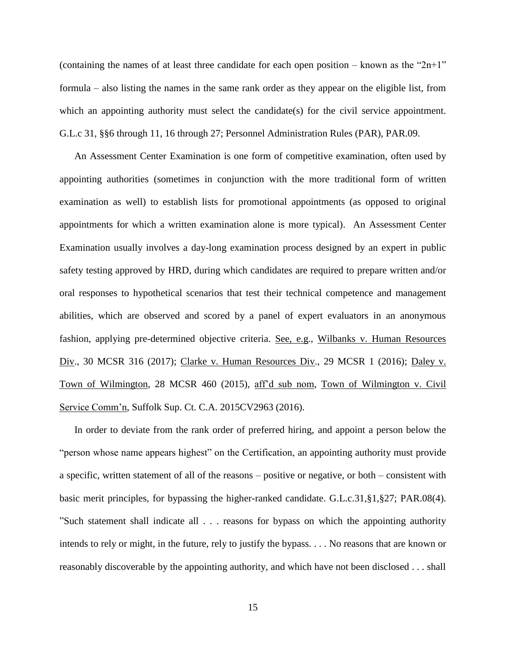(containing the names of at least three candidate for each open position – known as the " $2n+1$ " formula – also listing the names in the same rank order as they appear on the eligible list, from which an appointing authority must select the candidate(s) for the civil service appointment. G.L.c 31, §§6 through 11, 16 through 27; Personnel Administration Rules (PAR), PAR.09.

An Assessment Center Examination is one form of competitive examination, often used by appointing authorities (sometimes in conjunction with the more traditional form of written examination as well) to establish lists for promotional appointments (as opposed to original appointments for which a written examination alone is more typical). An Assessment Center Examination usually involves a day-long examination process designed by an expert in public safety testing approved by HRD, during which candidates are required to prepare written and/or oral responses to hypothetical scenarios that test their technical competence and management abilities, which are observed and scored by a panel of expert evaluators in an anonymous fashion, applying pre-determined objective criteria. See, e.g., Wilbanks v. Human Resources Div., 30 MCSR 316 (2017); Clarke v. Human Resources Div., 29 MCSR 1 (2016); Daley v. Town of Wilmington, 28 MCSR 460 (2015), aff'd sub nom, Town of Wilmington v. Civil Service Comm'n, Suffolk Sup. Ct. C.A. 2015CV2963 (2016).

In order to deviate from the rank order of preferred hiring, and appoint a person below the "person whose name appears highest" on the Certification, an appointing authority must provide a specific, written statement of all of the reasons – positive or negative, or both – consistent with basic merit principles, for bypassing the higher-ranked candidate. G.L.c.31,§1,§27; PAR.08(4). "Such statement shall indicate all . . . reasons for bypass on which the appointing authority intends to rely or might, in the future, rely to justify the bypass. . . . No reasons that are known or reasonably discoverable by the appointing authority, and which have not been disclosed . . . shall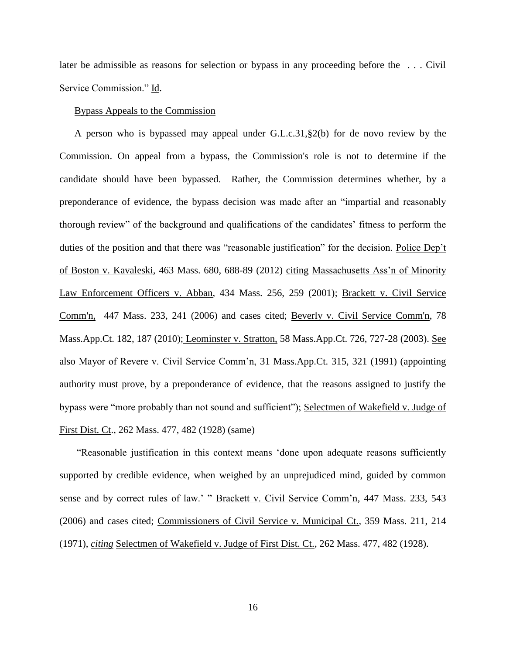later be admissible as reasons for selection or bypass in any proceeding before the . . . Civil Service Commission." Id.

#### Bypass Appeals to the Commission

A person who is bypassed may appeal under G.L.c.31,§2(b) for de novo review by the Commission. On appeal from a bypass, the Commission's role is not to determine if the candidate should have been bypassed. Rather, the Commission determines whether, by a preponderance of evidence, the bypass decision was made after an "impartial and reasonably thorough review" of the background and qualifications of the candidates' fitness to perform the duties of the position and that there was "reasonable justification" for the decision. Police Dep't of Boston v. Kavaleski, 463 Mass. 680, 688-89 (2012) citing Massachusetts Ass'n of Minority Law Enforcement Officers v. Abban, 434 Mass. 256, 259 (2001); [Brackett v. Civil Service](http://web2.westlaw.com/find/default.wl?mt=Massachusetts&db=578&rs=WLW15.04&tc=-1&rp=%2ffind%2fdefault.wl&findtype=Y&ordoc=2029136022&serialnum=2009543382&vr=2.0&fn=_top&sv=Split&tf=-1&pbc=70F732C1&utid=1)  [Comm'n, 447 Mass. 233, 241 \(2006\)](http://web2.westlaw.com/find/default.wl?mt=Massachusetts&db=578&rs=WLW15.04&tc=-1&rp=%2ffind%2fdefault.wl&findtype=Y&ordoc=2029136022&serialnum=2009543382&vr=2.0&fn=_top&sv=Split&tf=-1&pbc=70F732C1&utid=1) and cases cited; [Beverly v. Civil Service Comm'n, 78](http://web2.westlaw.com/find/default.wl?mt=Massachusetts&db=578&rs=WLW15.04&tc=-1&rp=%2ffind%2fdefault.wl&findtype=Y&ordoc=2029136022&serialnum=2023501172&vr=2.0&fn=_top&sv=Split&tf=-1&pbc=70F732C1&utid=1)  [Mass.App.Ct. 182, 187 \(2010\);](http://web2.westlaw.com/find/default.wl?mt=Massachusetts&db=578&rs=WLW15.04&tc=-1&rp=%2ffind%2fdefault.wl&findtype=Y&ordoc=2029136022&serialnum=2023501172&vr=2.0&fn=_top&sv=Split&tf=-1&pbc=70F732C1&utid=1) Leominster v. Stratton, 58 Mass.App.Ct. 726, 727-28 (2003). See also Mayor of Revere v. Civil Service Comm'n, 31 Mass.App.Ct. 315, 321 (1991) (appointing authority must prove, by a preponderance of evidence, that the reasons assigned to justify the bypass were "more probably than not sound and sufficient"); Selectmen of Wakefield v. Judge of First Dist. Ct., 262 Mass. 477, 482 (1928) (same)

"Reasonable justification in this context means 'done upon adequate reasons sufficiently supported by credible evidence, when weighed by an unprejudiced mind, guided by common sense and by correct rules of law.' " Brackett v. Civil Service Comm'n, 447 Mass. 233, 543 (2006) and cases cited; Commissioners of Civil Service v. Municipal Ct., 359 Mass. 211, 214 (1971), *citing* Selectmen of Wakefield v. Judge of First Dist. Ct., 262 Mass. 477, 482 (1928).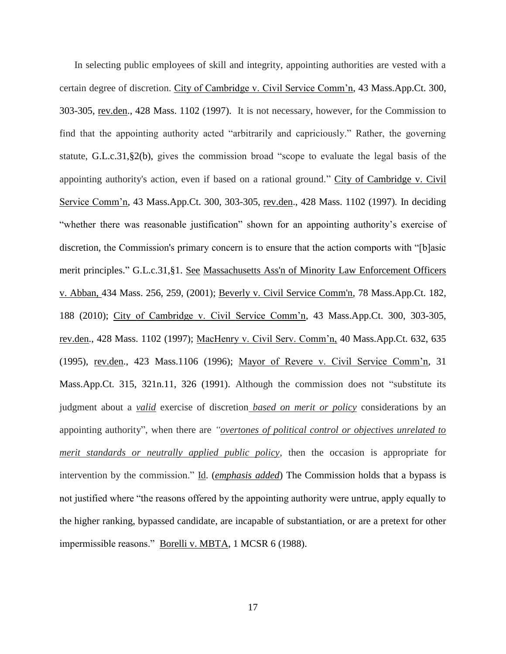In selecting public employees of skill and integrity, appointing authorities are vested with a certain degree of discretion. City of Cambridge v. Civil Service Comm'n, 43 Mass.App.Ct. 300, 303-305, rev.den., 428 Mass. 1102 (1997). It is not necessary, however, for the Commission to find that the appointing authority acted "arbitrarily and capriciously." Rather, the governing statute, [G.L.c.31,§2\(b\),](https://1.next.westlaw.com/Link/Document/FullText?findType=L&pubNum=1000042&cite=MAST31S2&originatingDoc=Ib21af0ded3bd11d99439b076ef9ec4de&refType=LQ&originationContext=document&transitionType=DocumentItem&contextData=(sc.History*oc.UserEnteredCitation)) gives the commission broad "scope to evaluate the legal basis of the appointing authority's action, even if based on a rational ground." City of Cambridge v. Civil Service Comm'n, 43 Mass.App.Ct. 300, 303-305, rev.den., 428 Mass. 1102 (1997)*.* In deciding "whether there was reasonable justification" shown for an appointing authority's exercise of discretion, the Commission's primary concern is to ensure that the action comports with "[b]asic merit principles." [G.L.c.31,§1.](http://web2.westlaw.com/find/default.wl?mt=Massachusetts&db=1000042&rs=WLW15.04&docname=MAST31S1&rp=%2ffind%2fdefault.wl&findtype=L&ordoc=2029136022&tc=-1&vr=2.0&fn=_top&sv=Split&tf=-1&pbc=70F732C1&utid=1) See [Massachusetts Ass'n of Minority Law Enforcement Officers](http://web2.westlaw.com/find/default.wl?mt=Massachusetts&db=578&rs=WLW15.04&tc=-1&rp=%2ffind%2fdefault.wl&findtype=Y&ordoc=2029136022&serialnum=2001441097&vr=2.0&fn=_top&sv=Split&tf=-1&pbc=70F732C1&utid=1)  v. Abban, [434 Mass. 256, 259, \(2001\);](http://web2.westlaw.com/find/default.wl?mt=Massachusetts&db=578&rs=WLW15.04&tc=-1&rp=%2ffind%2fdefault.wl&findtype=Y&ordoc=2029136022&serialnum=2001441097&vr=2.0&fn=_top&sv=Split&tf=-1&pbc=70F732C1&utid=1) [Beverly v. Civil Service Comm'n, 78 Mass.App.Ct. 182,](http://web2.westlaw.com/find/default.wl?mt=Massachusetts&db=578&rs=WLW15.04&tc=-1&rp=%2ffind%2fdefault.wl&findtype=Y&ordoc=2029136022&serialnum=2023501172&vr=2.0&fn=_top&sv=Split&tf=-1&pbc=70F732C1&utid=1)  [188 \(2010\);](http://web2.westlaw.com/find/default.wl?mt=Massachusetts&db=578&rs=WLW15.04&tc=-1&rp=%2ffind%2fdefault.wl&findtype=Y&ordoc=2029136022&serialnum=2023501172&vr=2.0&fn=_top&sv=Split&tf=-1&pbc=70F732C1&utid=1) City of Cambridge v. Civil Service Comm'n, 43 Mass.App.Ct. 300, 303-305, rev.den., 428 Mass. 1102 (1997); MacHenry v. Civil Serv. Comm'n, 40 Mass.App.Ct. 632, 635 (1995), rev.den., 423 Mass.1106 (1996); Mayor of Revere v. Civil Service Comm'n, 31 Mass.App.Ct. 315, 321n.11, 326 (1991). Although the commission does not "substitute its judgment about a *valid* exercise of discretion *based on merit or policy* considerations by an appointing authority", when there are *"overtones of political control or objectives unrelated to merit standards or neutrally applied public policy*, then the occasion is appropriate for intervention by the commission." Id. (*emphasis added*) The Commission holds that a bypass is not justified where "the reasons offered by the appointing authority were untrue, apply equally to the higher ranking, bypassed candidate, are incapable of substantiation, or are a pretext for other impermissible reasons." Borelli v. MBTA, 1 MCSR 6 (1988).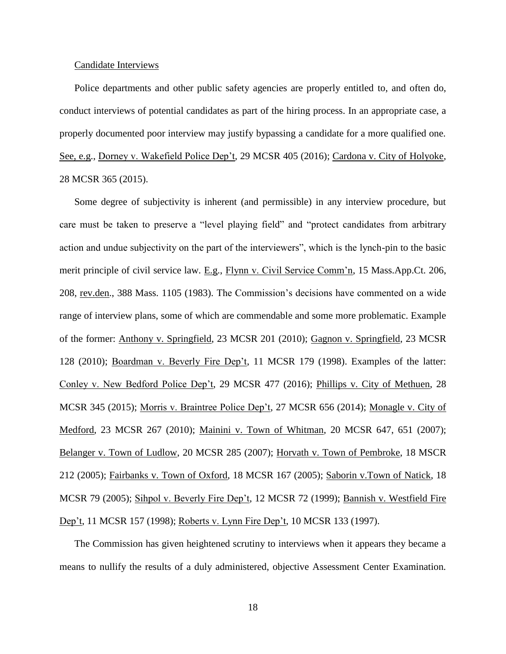#### Candidate Interviews

Police departments and other public safety agencies are properly entitled to, and often do, conduct interviews of potential candidates as part of the hiring process. In an appropriate case, a properly documented poor interview may justify bypassing a candidate for a more qualified one. See, e.g., Dorney v. Wakefield Police Dep't, 29 MCSR 405 (2016); Cardona v. City of Holyoke, 28 MCSR 365 (2015).

Some degree of subjectivity is inherent (and permissible) in any interview procedure, but care must be taken to preserve a "level playing field" and "protect candidates from arbitrary action and undue subjectivity on the part of the interviewers", which is the lynch-pin to the basic merit principle of civil service law. E.g., Flynn v. Civil Service Comm'n, 15 Mass.App.Ct. 206, 208, rev.den., 388 Mass. 1105 (1983). The Commission's decisions have commented on a wide range of interview plans, some of which are commendable and some more problematic. Example of the former: Anthony v. Springfield, 23 MCSR 201 (2010); Gagnon v. Springfield, 23 MCSR 128 (2010); Boardman v. Beverly Fire Dep't, 11 MCSR 179 (1998). Examples of the latter: Conley v. New Bedford Police Dep't, 29 MCSR 477 (2016); Phillips v. City of Methuen, 28 MCSR 345 (2015); Morris v. Braintree Police Dep't, 27 MCSR 656 (2014); Monagle v. City of Medford, 23 MCSR 267 (2010); Mainini v. Town of Whitman, 20 MCSR 647, 651 (2007); Belanger v. Town of Ludlow, 20 MCSR 285 (2007); Horvath v. Town of Pembroke, 18 MSCR 212 (2005); Fairbanks v. Town of Oxford, 18 MCSR 167 (2005); Saborin v.Town of Natick, 18 MCSR 79 (2005); Sihpol v. Beverly Fire Dep't, 12 MCSR 72 (1999); Bannish v. Westfield Fire Dep't, 11 MCSR 157 (1998); Roberts v. Lynn Fire Dep't, 10 MCSR 133 (1997).

The Commission has given heightened scrutiny to interviews when it appears they became a means to nullify the results of a duly administered, objective Assessment Center Examination.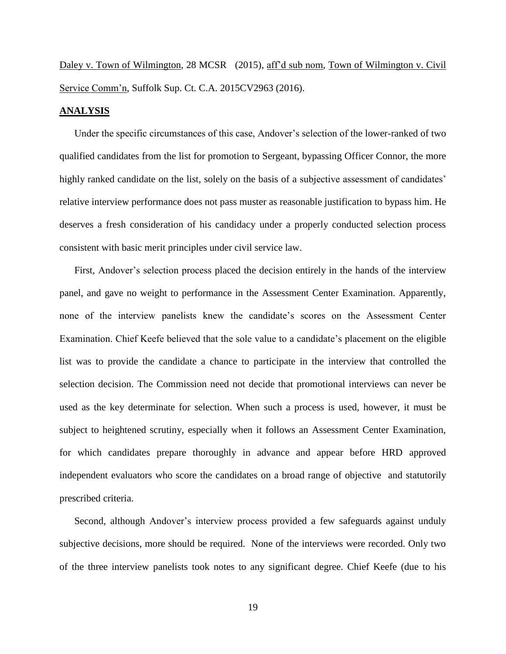Daley v. Town of Wilmington, 28 MCSR (2015), aff'd sub nom, Town of Wilmington v. Civil Service Comm'n, Suffolk Sup. Ct. C.A. 2015CV2963 (2016).

### **ANALYSIS**

Under the specific circumstances of this case, Andover's selection of the lower-ranked of two qualified candidates from the list for promotion to Sergeant, bypassing Officer Connor, the more highly ranked candidate on the list, solely on the basis of a subjective assessment of candidates' relative interview performance does not pass muster as reasonable justification to bypass him. He deserves a fresh consideration of his candidacy under a properly conducted selection process consistent with basic merit principles under civil service law.

First, Andover's selection process placed the decision entirely in the hands of the interview panel, and gave no weight to performance in the Assessment Center Examination. Apparently, none of the interview panelists knew the candidate's scores on the Assessment Center Examination. Chief Keefe believed that the sole value to a candidate's placement on the eligible list was to provide the candidate a chance to participate in the interview that controlled the selection decision. The Commission need not decide that promotional interviews can never be used as the key determinate for selection. When such a process is used, however, it must be subject to heightened scrutiny, especially when it follows an Assessment Center Examination, for which candidates prepare thoroughly in advance and appear before HRD approved independent evaluators who score the candidates on a broad range of objective and statutorily prescribed criteria.

Second, although Andover's interview process provided a few safeguards against unduly subjective decisions, more should be required. None of the interviews were recorded. Only two of the three interview panelists took notes to any significant degree. Chief Keefe (due to his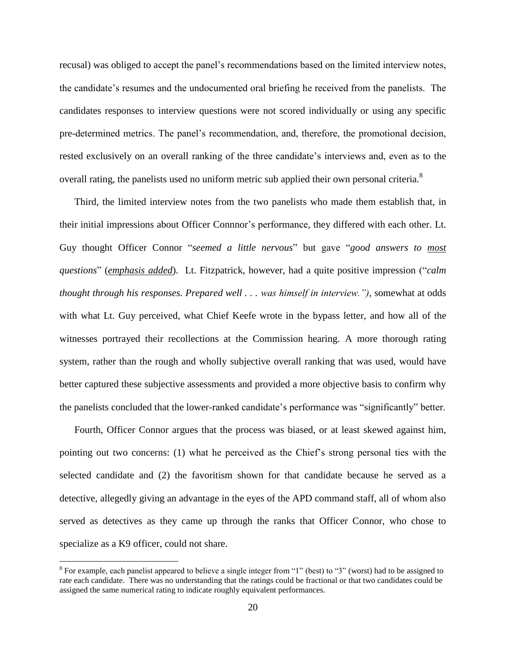recusal) was obliged to accept the panel's recommendations based on the limited interview notes, the candidate's resumes and the undocumented oral briefing he received from the panelists. The candidates responses to interview questions were not scored individually or using any specific pre-determined metrics. The panel's recommendation, and, therefore, the promotional decision, rested exclusively on an overall ranking of the three candidate's interviews and, even as to the overall rating, the panelists used no uniform metric sub applied their own personal criteria.<sup>8</sup>

Third, the limited interview notes from the two panelists who made them establish that, in their initial impressions about Officer Connnor's performance, they differed with each other. Lt. Guy thought Officer Connor "*seemed a little nervous*" but gave "*good answers to most questions*" (*emphasis added*). Lt. Fitzpatrick, however, had a quite positive impression ("*calm thought through his responses. Prepared well . . . was himself in interview.")*, somewhat at odds with what Lt. Guy perceived, what Chief Keefe wrote in the bypass letter, and how all of the witnesses portrayed their recollections at the Commission hearing. A more thorough rating system, rather than the rough and wholly subjective overall ranking that was used, would have better captured these subjective assessments and provided a more objective basis to confirm why the panelists concluded that the lower-ranked candidate's performance was "significantly" better.

Fourth, Officer Connor argues that the process was biased, or at least skewed against him, pointing out two concerns: (1) what he perceived as the Chief's strong personal ties with the selected candidate and (2) the favoritism shown for that candidate because he served as a detective, allegedly giving an advantage in the eyes of the APD command staff, all of whom also served as detectives as they came up through the ranks that Officer Connor, who chose to specialize as a K9 officer, could not share.

 $\overline{a}$ 

 $8$  For example, each panelist appeared to believe a single integer from "1" (best) to "3" (worst) had to be assigned to rate each candidate. There was no understanding that the ratings could be fractional or that two candidates could be assigned the same numerical rating to indicate roughly equivalent performances.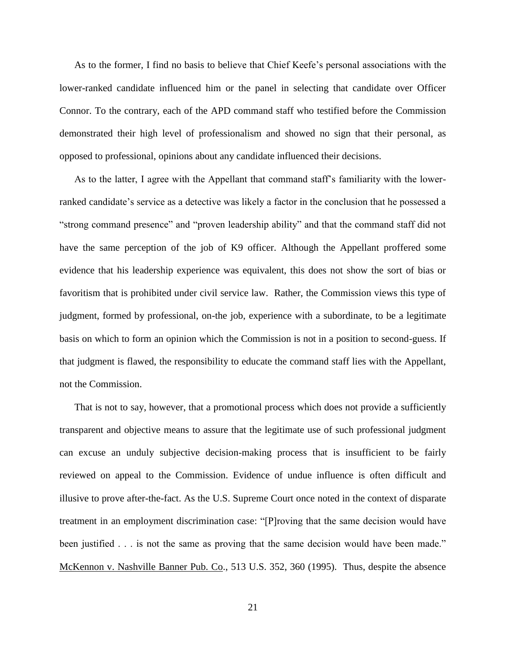As to the former, I find no basis to believe that Chief Keefe's personal associations with the lower-ranked candidate influenced him or the panel in selecting that candidate over Officer Connor. To the contrary, each of the APD command staff who testified before the Commission demonstrated their high level of professionalism and showed no sign that their personal, as opposed to professional, opinions about any candidate influenced their decisions.

As to the latter, I agree with the Appellant that command staff's familiarity with the lowerranked candidate's service as a detective was likely a factor in the conclusion that he possessed a "strong command presence" and "proven leadership ability" and that the command staff did not have the same perception of the job of K9 officer. Although the Appellant proffered some evidence that his leadership experience was equivalent, this does not show the sort of bias or favoritism that is prohibited under civil service law. Rather, the Commission views this type of judgment, formed by professional, on-the job, experience with a subordinate, to be a legitimate basis on which to form an opinion which the Commission is not in a position to second-guess. If that judgment is flawed, the responsibility to educate the command staff lies with the Appellant, not the Commission.

That is not to say, however, that a promotional process which does not provide a sufficiently transparent and objective means to assure that the legitimate use of such professional judgment can excuse an unduly subjective decision-making process that is insufficient to be fairly reviewed on appeal to the Commission. Evidence of undue influence is often difficult and illusive to prove after-the-fact. As the U.S. Supreme Court once noted in the context of disparate treatment in an employment discrimination case: "[P]roving that the same decision would have been justified . . . is not the same as proving that the same decision would have been made." McKennon v. Nashville Banner Pub. Co., 513 U.S. 352, 360 (1995). Thus, despite the absence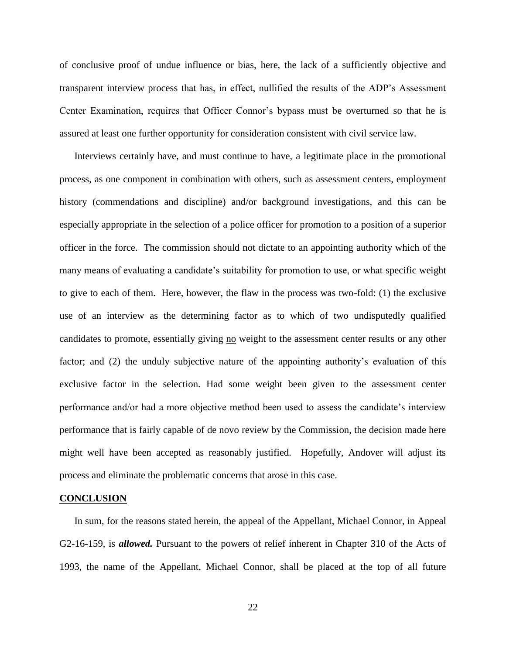of conclusive proof of undue influence or bias, here, the lack of a sufficiently objective and transparent interview process that has, in effect, nullified the results of the ADP's Assessment Center Examination, requires that Officer Connor's bypass must be overturned so that he is assured at least one further opportunity for consideration consistent with civil service law.

Interviews certainly have, and must continue to have, a legitimate place in the promotional process, as one component in combination with others, such as assessment centers, employment history (commendations and discipline) and/or background investigations, and this can be especially appropriate in the selection of a police officer for promotion to a position of a superior officer in the force. The commission should not dictate to an appointing authority which of the many means of evaluating a candidate's suitability for promotion to use, or what specific weight to give to each of them. Here, however, the flaw in the process was two-fold: (1) the exclusive use of an interview as the determining factor as to which of two undisputedly qualified candidates to promote, essentially giving no weight to the assessment center results or any other factor; and (2) the unduly subjective nature of the appointing authority's evaluation of this exclusive factor in the selection. Had some weight been given to the assessment center performance and/or had a more objective method been used to assess the candidate's interview performance that is fairly capable of de novo review by the Commission, the decision made here might well have been accepted as reasonably justified. Hopefully, Andover will adjust its process and eliminate the problematic concerns that arose in this case.

#### **CONCLUSION**

In sum, for the reasons stated herein, the appeal of the Appellant, Michael Connor, in Appeal G2-16-159, is *allowed.* Pursuant to the powers of relief inherent in Chapter 310 of the Acts of 1993, the name of the Appellant, Michael Connor, shall be placed at the top of all future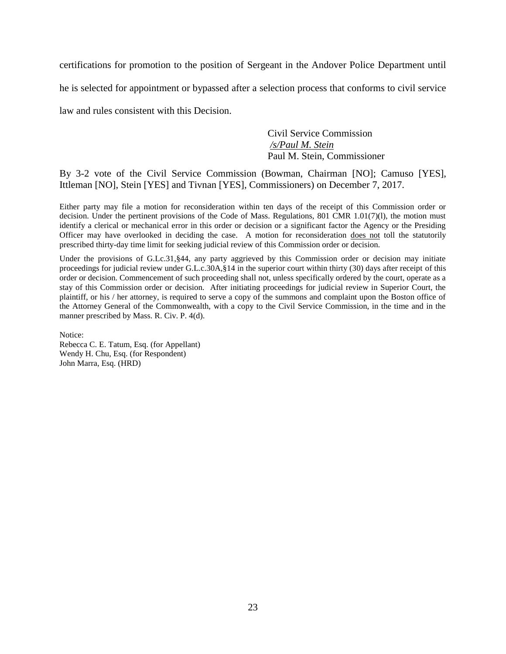certifications for promotion to the position of Sergeant in the Andover Police Department until he is selected for appointment or bypassed after a selection process that conforms to civil service law and rules consistent with this Decision.

> Civil Service Commission */s/Paul M. Stein*  Paul M. Stein, Commissioner

By 3-2 vote of the Civil Service Commission (Bowman, Chairman [NO]; Camuso [YES], Ittleman [NO], Stein [YES] and Tivnan [YES], Commissioners) on December 7, 2017.

Either party may file a motion for reconsideration within ten days of the receipt of this Commission order or decision. Under the pertinent provisions of the Code of Mass. Regulations, 801 CMR 1.01(7)(l), the motion must identify a clerical or mechanical error in this order or decision or a significant factor the Agency or the Presiding Officer may have overlooked in deciding the case. A motion for reconsideration does not toll the statutorily prescribed thirty-day time limit for seeking judicial review of this Commission order or decision.

Under the provisions of G.Lc.31, §44, any party aggrieved by this Commission order or decision may initiate proceedings for judicial review under G.L.c.30A,§14 in the superior court within thirty (30) days after receipt of this order or decision. Commencement of such proceeding shall not, unless specifically ordered by the court, operate as a stay of this Commission order or decision. After initiating proceedings for judicial review in Superior Court, the plaintiff, or his / her attorney, is required to serve a copy of the summons and complaint upon the Boston office of the Attorney General of the Commonwealth, with a copy to the Civil Service Commission, in the time and in the manner prescribed by Mass. R. Civ. P. 4(d).

Notice: Rebecca C. E. Tatum, Esq. (for Appellant) Wendy H. Chu, Esq. (for Respondent) John Marra, Esq. (HRD)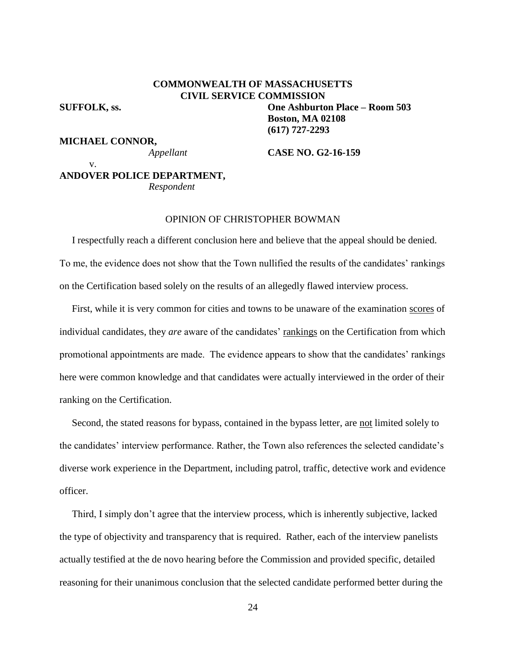# **COMMONWEALTH OF MASSACHUSETTS CIVIL SERVICE COMMISSION SUFFOLK, ss. One Ashburton Place – Room 503**

v.

**Boston, MA 02108 (617) 727-2293**

**MICHAEL CONNOR,**

*Appellant* **CASE NO. G2-16-159**

# **ANDOVER POLICE DEPARTMENT,** *Respondent*

## OPINION OF CHRISTOPHER BOWMAN

 I respectfully reach a different conclusion here and believe that the appeal should be denied. To me, the evidence does not show that the Town nullified the results of the candidates' rankings on the Certification based solely on the results of an allegedly flawed interview process.

 First, while it is very common for cities and towns to be unaware of the examination scores of individual candidates, they *are* aware of the candidates' rankings on the Certification from which promotional appointments are made. The evidence appears to show that the candidates' rankings here were common knowledge and that candidates were actually interviewed in the order of their ranking on the Certification.

 Second, the stated reasons for bypass, contained in the bypass letter, are not limited solely to the candidates' interview performance. Rather, the Town also references the selected candidate's diverse work experience in the Department, including patrol, traffic, detective work and evidence officer.

 Third, I simply don't agree that the interview process, which is inherently subjective, lacked the type of objectivity and transparency that is required. Rather, each of the interview panelists actually testified at the de novo hearing before the Commission and provided specific, detailed reasoning for their unanimous conclusion that the selected candidate performed better during the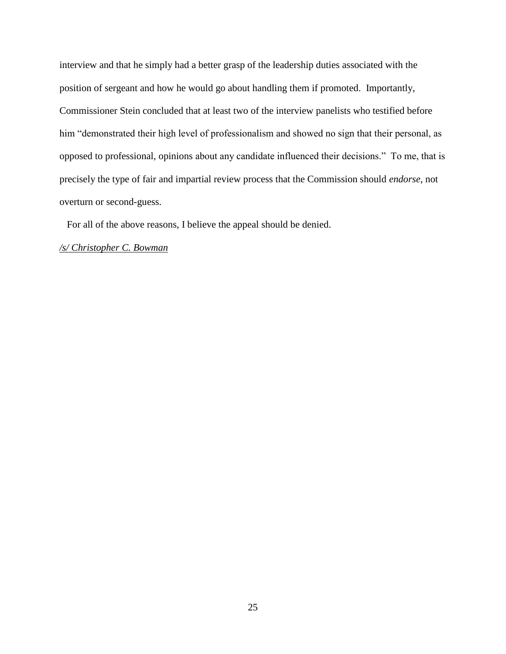interview and that he simply had a better grasp of the leadership duties associated with the position of sergeant and how he would go about handling them if promoted. Importantly, Commissioner Stein concluded that at least two of the interview panelists who testified before him "demonstrated their high level of professionalism and showed no sign that their personal, as opposed to professional, opinions about any candidate influenced their decisions." To me, that is precisely the type of fair and impartial review process that the Commission should *endorse*, not overturn or second-guess.

For all of the above reasons, I believe the appeal should be denied.

# */s/ Christopher C. Bowman*